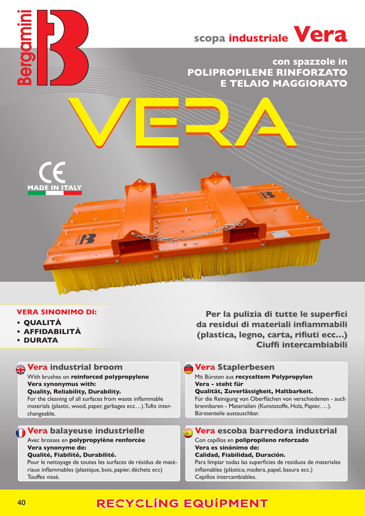

# **con spazzole in POLIPROPILENE RINFORZATO E TELAIO MAGGIORATO**



- **• QUALITÀ**
- **• AFFIDABILITÀ**
- **• DURATA**

# **Vera industrial broom**

#### With brushes on **reinforced polypropylene Vera synonymus with: Quality, Reliability, Durability.**

For the cleaning of all surfaces from waste inflammable materials (plastic, wood, paper, garbages ecc…).Tufts interchangeable.

## **Vera balayeuse industrielle**

### Avec brosses en **polypropylène renforcée Vera synonyme de:**

### **Qualité, Fiabilité, Durabilité.**

Pour le nettoyage de toutes les surfaces de résidus de matériaux inflammables (plastique, bois, papier, déchets ecc) Touffes vissé.

**Per la pulizia di tutte le superfici da residui di materiali infiammabili (plastica, legno, carta, rifiuti ecc…) Ciuffi intercambiabili**

### **Vera Staplerbesen**

#### Mit Bürsten aus **recyceltem Polypropylen Vera - steht für**

#### **Qualität, Zuverlässigkeit, Haltbarkeit.**

Für die Reinigung von Oberflächen von verschiedenen - auch brennbaren - Materialien (Kunststoffe, Holz, Papier, …). Bürstenteile austauschbar.

# **Vera escoba barredora industrial**

#### Con cepillos en **polipropileno reforzado Vera es sinónimo de:**

#### **Calidad, Fiabilidad, Duración.**

Para limpiar todas las superficies de residuos de materiales inflamables (plástico, madera, papel, basura ecc.) Cepillos intercambiables.

# RECYCLING EQUIPMENT